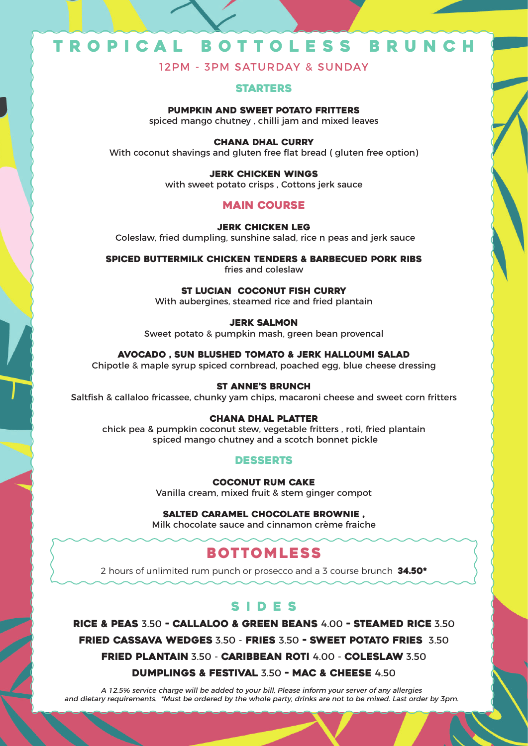# T R O P I C A L B O T T O L E S S B R U N C H

12PM - 3PM SATURDAY & SUNDAY

## STARTERS

PUMPKIN AND SWEET POTATO FRITTERS spiced mango chutney , chilli jam and mixed leaves

CHANA DHAL CURRY With coconut shavings and gluten free flat bread ( gluten free option)

> JERK CHICKEN WINGS with sweet potato crisps , Cottons jerk sauce

# MAIN COURSE

JERK CHICKEN LEG Coleslaw, fried dumpling, sunshine salad, rice n peas and jerk sauce

SPICED BUTTERMILK CHICKEN TENDERS & BARBECUED PORK RIBS fries and coleslaw

> ST LUCIAN COCONUT FISH CURRY With aubergines, steamed rice and fried plantain

> > JERK SALMON

Sweet potato & pumpkin mash, green bean provencal

AVOCADO , SUN BLUSHED TOMATO & JERK HALLOUMI SALAD

Chipotle & maple syrup spiced cornbread, poached egg, blue cheese dressing

## ST ANNE'S BRUNCH

Saltfish & callaloo fricassee, chunky yam chips, macaroni cheese and sweet corn fritters

### CHANA DHAL PLATTER

chick pea & pumpkin coconut stew, vegetable fritters , roti, fried plantain spiced mango chutney and a scotch bonnet pickle

# DESSERTS

COCONUT RUM CAKE Vanilla cream, mixed fruit & stem ginger compot

SALTED CARAMEL CHOCOLATE BROWNIE , Milk chocolate sauce and cinnamon crème fraiche

# **BOTTOMLESS**

2 hours of unlimited rum punch or prosecco and a 3 course brunch  $34.50^*$ 

# SIDES

RICE & PEAS 3.50 - CALLALOO & GREEN BEANS 4.00 - STEAMED RICE 3.50 FRIED CASSAVA WEDGES 3.50 - FRIES 3.50 - SWEET POTATO FRIES 3.50 FRIED PLANTAIN 3.50 - CARIBBEAN ROTI 4.00 - COLESLAW 3.50

DUMPLINGS & FESTIVAL 3.50 - MAC & CHEESE 4.50

A 12.5% service charge will be added to your bill, Please inform your server of any allergies and dietary requirements. \*Must be ordered by the whole party, drinks are not to be mixed. Last order by 3pm.